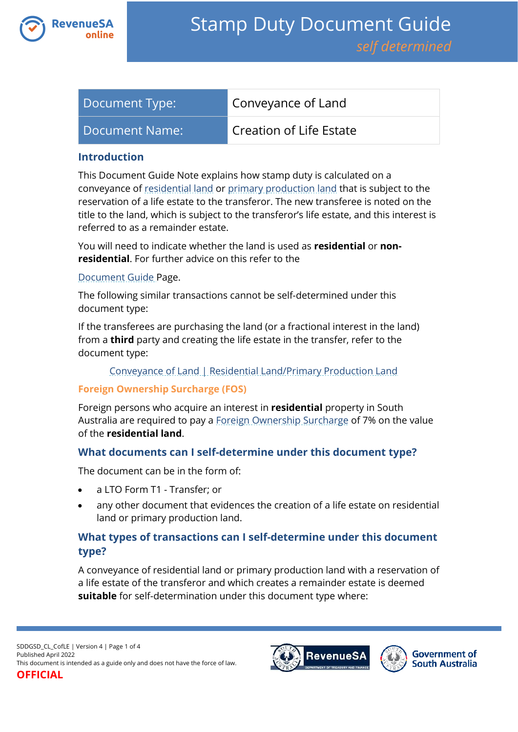

| Document Type: | Conveyance of Land      |
|----------------|-------------------------|
| Document Name: | Creation of Life Estate |

#### **Introduction**

This Document Guide Note explains how stamp duty is calculated on a conveyance of [residential land](https://www.revenuesa.sa.gov.au/stampduty/stamp-duty-document-guide#RR&PP) or [primary production land](https://www.revenuesa.sa.gov.au/stampduty/stamp-duty-document-guide#RR&PP) that is subject to the reservation of a life estate to the transferor. The new transferee is noted on the title to the land, which is subject to the transferor's life estate, and this interest is referred to as a remainder estate.

You will need to indicate whether the land is used as **residential** or **nonresidential**. For further advice on this refer to the

#### [Document Guide](https://www.revenuesa.sa.gov.au/stampduty/stamp-duty-document-guide#RR&PP) Page.

The following similar transactions cannot be self-determined under this document type:

If the transferees are purchasing the land (or a fractional interest in the land) from a **third** party and creating the life estate in the transfer, refer to the document type:

#### [Conveyance of Land | Residential Land/Primary Production Land](https://www.revenuesa.sa.gov.au/stampduty/stamp-duty-document-guide/self-determined/conveyance-of-land/sddgsd_cl_rpp)

#### **Foreign Ownership Surcharge (FOS)**

Foreign persons who acquire an interest in **residential** property in South Australia are required to pay a [Foreign Ownership Surcharge](https://www.revenuesa.sa.gov.au/stampduty/stamp-duty-document-guide#FOS) of 7% on the value of the **residential land**.

### **What documents can I self-determine under this document type?**

The document can be in the form of:

- a LTO Form T1 Transfer; or
- any other document that evidences the creation of a life estate on residential land or primary production land.

# **What types of transactions can I self-determine under this document type?**

A conveyance of residential land or primary production land with a reservation of a life estate of the transferor and which creates a remainder estate is deemed **suitable** for self-determination under this document type where:



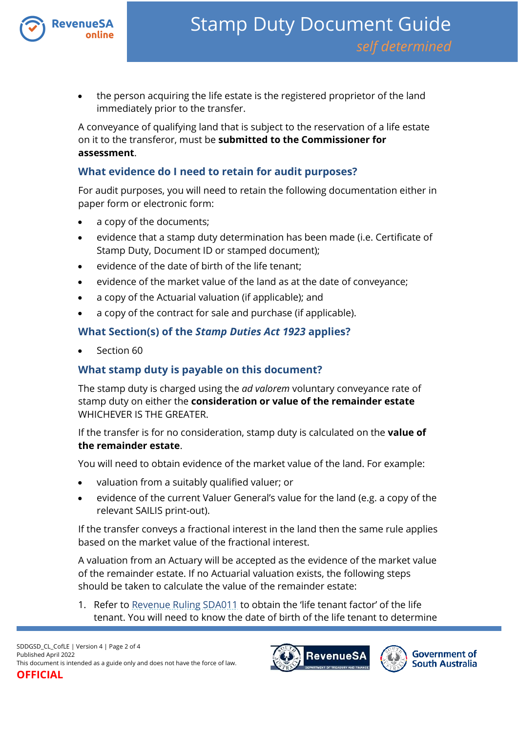

 the person acquiring the life estate is the registered proprietor of the land immediately prior to the transfer.

A conveyance of qualifying land that is subject to the reservation of a life estate on it to the transferor, must be **submitted to the Commissioner for assessment**.

### **What evidence do I need to retain for audit purposes?**

For audit purposes, you will need to retain the following documentation either in paper form or electronic form:

- a copy of the documents;
- evidence that a stamp duty determination has been made (i.e. Certificate of Stamp Duty, Document ID or stamped document);
- evidence of the date of birth of the life tenant;
- evidence of the market value of the land as at the date of conveyance;
- a copy of the Actuarial valuation (if applicable); and
- a copy of the contract for sale and purchase (if applicable).

## **What Section(s) of the** *Stamp Duties Act 1923* **applies?**

Section 60

# **What stamp duty is payable on this document?**

The stamp duty is charged using the *ad valorem* voluntary conveyance rate of stamp duty on either the **consideration or value of the remainder estate** WHICHEVER IS THE GREATER.

If the transfer is for no consideration, stamp duty is calculated on the **value of the remainder estate**.

You will need to obtain evidence of the market value of the land. For example:

- valuation from a suitably qualified valuer; or
- evidence of the current Valuer General's value for the land (e.g. a copy of the relevant SAILIS print-out).

If the transfer conveys a fractional interest in the land then the same rule applies based on the market value of the fractional interest.

A valuation from an Actuary will be accepted as the evidence of the market value of the remainder estate. If no Actuarial valuation exists, the following steps should be taken to calculate the value of the remainder estate:

1. Refer to [Revenue Ruling SDA011](http://www.revenuesa.sa.gov.au/rulings/SDA011.pdf) to obtain the 'life tenant factor' of the life tenant. You will need to know the date of birth of the life tenant to determine

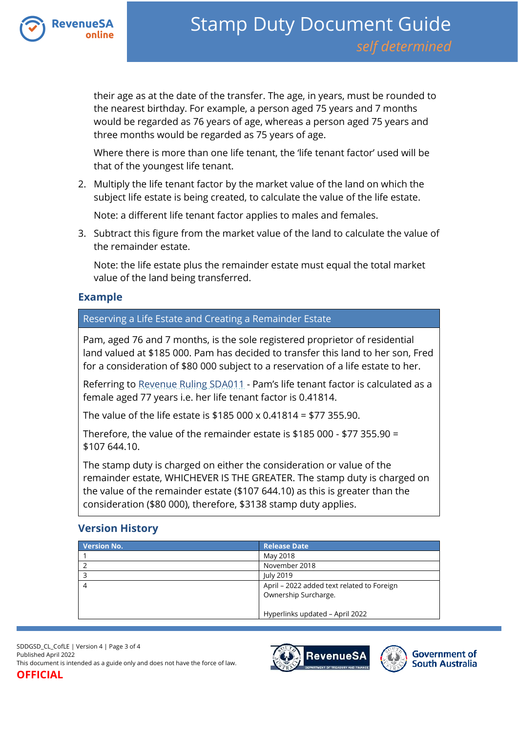

their age as at the date of the transfer. The age, in years, must be rounded to the nearest birthday. For example, a person aged 75 years and 7 months would be regarded as 76 years of age, whereas a person aged 75 years and three months would be regarded as 75 years of age.

Where there is more than one life tenant, the 'life tenant factor' used will be that of the youngest life tenant.

2. Multiply the life tenant factor by the market value of the land on which the subject life estate is being created, to calculate the value of the life estate.

Note: a different life tenant factor applies to males and females.

3. Subtract this figure from the market value of the land to calculate the value of the remainder estate.

Note: the life estate plus the remainder estate must equal the total market value of the land being transferred.

## **Example**

Reserving a Life Estate and Creating a Remainder Estate

Pam, aged 76 and 7 months, is the sole registered proprietor of residential land valued at \$185 000. Pam has decided to transfer this land to her son, Fred for a consideration of \$80 000 subject to a reservation of a life estate to her.

Referring to [Revenue Ruling SDA011](http://www.revenuesa.sa.gov.au/rulings/SDA011.pdf) - Pam's life tenant factor is calculated as a female aged 77 years i.e. her life tenant factor is 0.41814.

The value of the life estate is \$185 000 x 0.41814 = \$77 355.90.

Therefore, the value of the remainder estate is \$185 000 - \$77 355.90 = \$107 644.10.

The stamp duty is charged on either the consideration or value of the remainder estate, WHICHEVER IS THE GREATER. The stamp duty is charged on the value of the remainder estate (\$107 644.10) as this is greater than the consideration (\$80 000), therefore, \$3138 stamp duty applies.

# **Version History**

| <b>Version No.</b> | <b>Release Date</b>                                                |
|--------------------|--------------------------------------------------------------------|
|                    | May 2018                                                           |
|                    | November 2018                                                      |
|                    | July 2019                                                          |
|                    | April – 2022 added text related to Foreign<br>Ownership Surcharge. |
|                    | Hyperlinks updated - April 2022                                    |

SDDGSD\_CL\_CofLE | Version 4 | Page 3 of 4 Published April 2022 This document is intended as a guide only and does not have the force of law. **OFFICIAL**